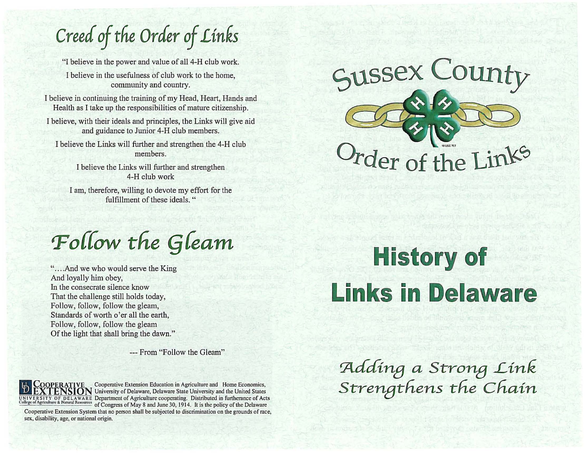*Creed* **of** *the Order* **of** *Links* 

"] believe in the power and value of all 4-H club work.

I believe in the usefulness of club work to the home, community and country.

I believe in continuing the training of my Head, Heart, Hands and Health as I take up the responsibilities of mature citizenship.

I believe, with their ideals and principles, the Links will give aid and guidance to Junior 4-H club members.

I believe the Links will further and strengthen the 4-H club members.

> I believe the Links will further and strengthen 4-H club work

I am, therefore, willing to devote my effort for the fulfillment of these ideals. "

 $P$  *Pollow the Gleam* 

"....And we who would serve the King" And loyally him obey, ln the consecrate silence know That the challenge still holds today, Follow, follow, follow the gleam, Standards of worth o'er all the earth, Follow, follow, follow the gleam Of the light that shall bring the dawn."

--- From "Follow the Gleam"



**sex, disability. age, or national origin.** 

 $^-$ Cooperative Extension Education in Agriculture and Home Economics, **ION** University of Delaware, Delaware State University and the United States SITY OF DELAWARE Department of Agriculture cooperating. Distributed in furtherance of Acts griculture & Natural Resources of Congress of May 8 and June 30, 1914. It is the policy of the Delaware Cooperative Extension System that no person shall be subjected to discrimination on the grounds of race, **sussex County**  *rder of the Links* 

## History of **Links in Delaware**

~dd1n8 *a Stron8 Link*  **Strengthens the Chain**